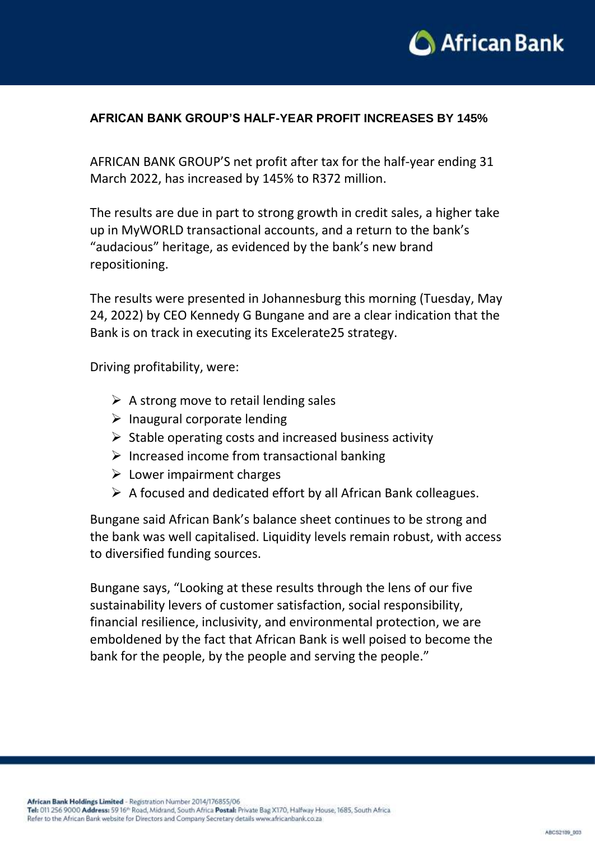

## **AFRICAN BANK GROUP'S HALF-YEAR PROFIT INCREASES BY 145%**

AFRICAN BANK GROUP'S net profit after tax for the half-year ending 31 March 2022, has increased by 145% to R372 million.

The results are due in part to strong growth in credit sales, a higher take up in MyWORLD transactional accounts, and a return to the bank's "audacious" heritage, as evidenced by the bank's new brand repositioning.

The results were presented in Johannesburg this morning (Tuesday, May 24, 2022) by CEO Kennedy G Bungane and are a clear indication that the Bank is on track in executing its Excelerate25 strategy.

Driving profitability, were:

- $\triangleright$  A strong move to retail lending sales
- $\triangleright$  Inaugural corporate lending
- $\triangleright$  Stable operating costs and increased business activity
- $\triangleright$  Increased income from transactional banking
- $\triangleright$  Lower impairment charges
- $\triangleright$  A focused and dedicated effort by all African Bank colleagues.

Bungane said African Bank's balance sheet continues to be strong and the bank was well capitalised. Liquidity levels remain robust, with access to diversified funding sources.

Bungane says, "Looking at these results through the lens of our five sustainability levers of customer satisfaction, social responsibility, financial resilience, inclusivity, and environmental protection, we are emboldened by the fact that African Bank is well poised to become the bank for the people, by the people and serving the people."